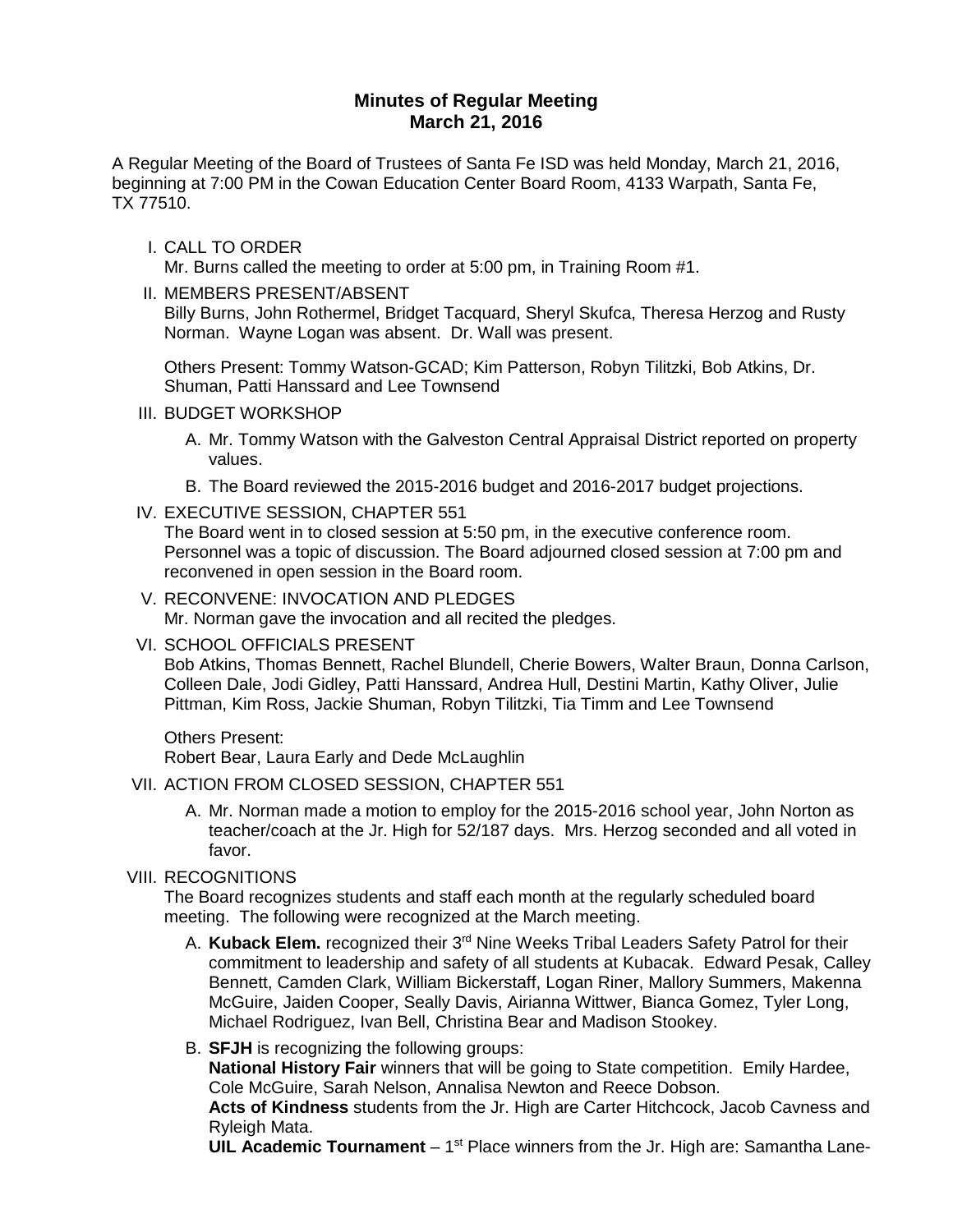# **Minutes of Regular Meeting March 21, 2016**

A Regular Meeting of the Board of Trustees of Santa Fe ISD was held Monday, March 21, 2016, beginning at 7:00 PM in the Cowan Education Center Board Room, 4133 Warpath, Santa Fe, TX 77510.

#### I. CALL TO ORDER

Mr. Burns called the meeting to order at 5:00 pm, in Training Room #1.

#### II. MEMBERS PRESENT/ABSENT

Billy Burns, John Rothermel, Bridget Tacquard, Sheryl Skufca, Theresa Herzog and Rusty Norman. Wayne Logan was absent. Dr. Wall was present.

Others Present: Tommy Watson-GCAD; Kim Patterson, Robyn Tilitzki, Bob Atkins, Dr. Shuman, Patti Hanssard and Lee Townsend

#### III. BUDGET WORKSHOP

- A. Mr. Tommy Watson with the Galveston Central Appraisal District reported on property values.
- B. The Board reviewed the 2015-2016 budget and 2016-2017 budget projections.
- IV. EXECUTIVE SESSION, CHAPTER 551

The Board went in to closed session at 5:50 pm, in the executive conference room. Personnel was a topic of discussion. The Board adjourned closed session at 7:00 pm and reconvened in open session in the Board room.

- V. RECONVENE: INVOCATION AND PLEDGES Mr. Norman gave the invocation and all recited the pledges.
- VI. SCHOOL OFFICIALS PRESENT

Bob Atkins, Thomas Bennett, Rachel Blundell, Cherie Bowers, Walter Braun, Donna Carlson, Colleen Dale, Jodi Gidley, Patti Hanssard, Andrea Hull, Destini Martin, Kathy Oliver, Julie Pittman, Kim Ross, Jackie Shuman, Robyn Tilitzki, Tia Timm and Lee Townsend

Others Present:

Robert Bear, Laura Early and Dede McLaughlin

## VII. ACTION FROM CLOSED SESSION, CHAPTER 551

A. Mr. Norman made a motion to employ for the 2015-2016 school year, John Norton as teacher/coach at the Jr. High for 52/187 days. Mrs. Herzog seconded and all voted in favor.

## VIII. RECOGNITIONS

The Board recognizes students and staff each month at the regularly scheduled board meeting. The following were recognized at the March meeting.

A. **Kuback Elem.** recognized their 3rd Nine Weeks Tribal Leaders Safety Patrol for their commitment to leadership and safety of all students at Kubacak. Edward Pesak, Calley Bennett, Camden Clark, William Bickerstaff, Logan Riner, Mallory Summers, Makenna McGuire, Jaiden Cooper, Seally Davis, Airianna Wittwer, Bianca Gomez, Tyler Long, Michael Rodriguez, Ivan Bell, Christina Bear and Madison Stookey.

## B. **SFJH** is recognizing the following groups:

**National History Fair** winners that will be going to State competition. Emily Hardee, Cole McGuire, Sarah Nelson, Annalisa Newton and Reece Dobson.

**Acts of Kindness** students from the Jr. High are Carter Hitchcock, Jacob Cavness and Ryleigh Mata.

**UIL Academic Tournament** – 1<sup>st</sup> Place winners from the Jr. High are: Samantha Lane-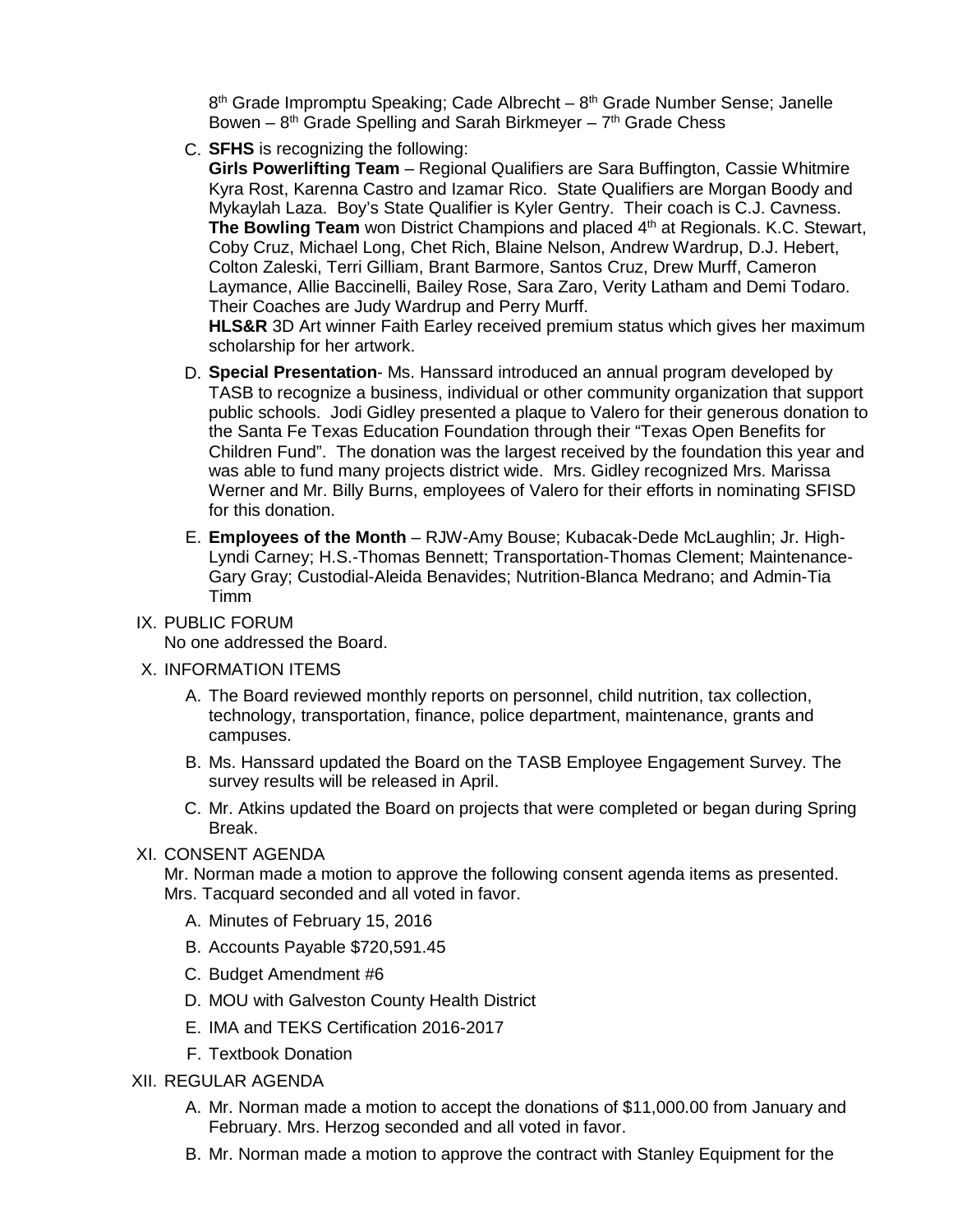$8<sup>th</sup>$  Grade Impromptu Speaking; Cade Albrecht –  $8<sup>th</sup>$  Grade Number Sense; Janelle Bowen –  $8<sup>th</sup>$  Grade Spelling and Sarah Birkmeyer –  $7<sup>th</sup>$  Grade Chess

C. **SFHS** is recognizing the following:

**Girls Powerlifting Team** – Regional Qualifiers are Sara Buffington, Cassie Whitmire Kyra Rost, Karenna Castro and Izamar Rico. State Qualifiers are Morgan Boody and Mykaylah Laza. Boy's State Qualifier is Kyler Gentry. Their coach is C.J. Cavness. **The Bowling Team** won District Champions and placed 4<sup>th</sup> at Regionals. K.C. Stewart, Coby Cruz, Michael Long, Chet Rich, Blaine Nelson, Andrew Wardrup, D.J. Hebert, Colton Zaleski, Terri Gilliam, Brant Barmore, Santos Cruz, Drew Murff, Cameron Laymance, Allie Baccinelli, Bailey Rose, Sara Zaro, Verity Latham and Demi Todaro. Their Coaches are Judy Wardrup and Perry Murff.

**HLS&R** 3D Art winner Faith Earley received premium status which gives her maximum scholarship for her artwork.

- D. **Special Presentation** Ms. Hanssard introduced an annual program developed by TASB to recognize a business, individual or other community organization that support public schools. Jodi Gidley presented a plaque to Valero for their generous donation to the Santa Fe Texas Education Foundation through their "Texas Open Benefits for Children Fund". The donation was the largest received by the foundation this year and was able to fund many projects district wide. Mrs. Gidley recognized Mrs. Marissa Werner and Mr. Billy Burns, employees of Valero for their efforts in nominating SFISD for this donation.
- E. **Employees of the Month** RJW-Amy Bouse; Kubacak-Dede McLaughlin; Jr. High-Lyndi Carney; H.S.-Thomas Bennett; Transportation-Thomas Clement; Maintenance-Gary Gray; Custodial-Aleida Benavides; Nutrition-Blanca Medrano; and Admin-Tia Timm
- IX. PUBLIC FORUM

No one addressed the Board.

- X. INFORMATION ITEMS
	- A. The Board reviewed monthly reports on personnel, child nutrition, tax collection, technology, transportation, finance, police department, maintenance, grants and campuses.
	- B. Ms. Hanssard updated the Board on the TASB Employee Engagement Survey. The survey results will be released in April.
	- C. Mr. Atkins updated the Board on projects that were completed or began during Spring Break.

#### XI. CONSENT AGENDA

Mr. Norman made a motion to approve the following consent agenda items as presented. Mrs. Tacquard seconded and all voted in favor.

- A. Minutes of February 15, 2016
- B. Accounts Payable \$720,591.45
- C. Budget Amendment #6
- D. MOU with Galveston County Health District
- E. IMA and TEKS Certification 2016-2017
- F. Textbook Donation
- XII. REGULAR AGENDA
	- A. Mr. Norman made a motion to accept the donations of \$11,000.00 from January and February. Mrs. Herzog seconded and all voted in favor.
	- B. Mr. Norman made a motion to approve the contract with Stanley Equipment for the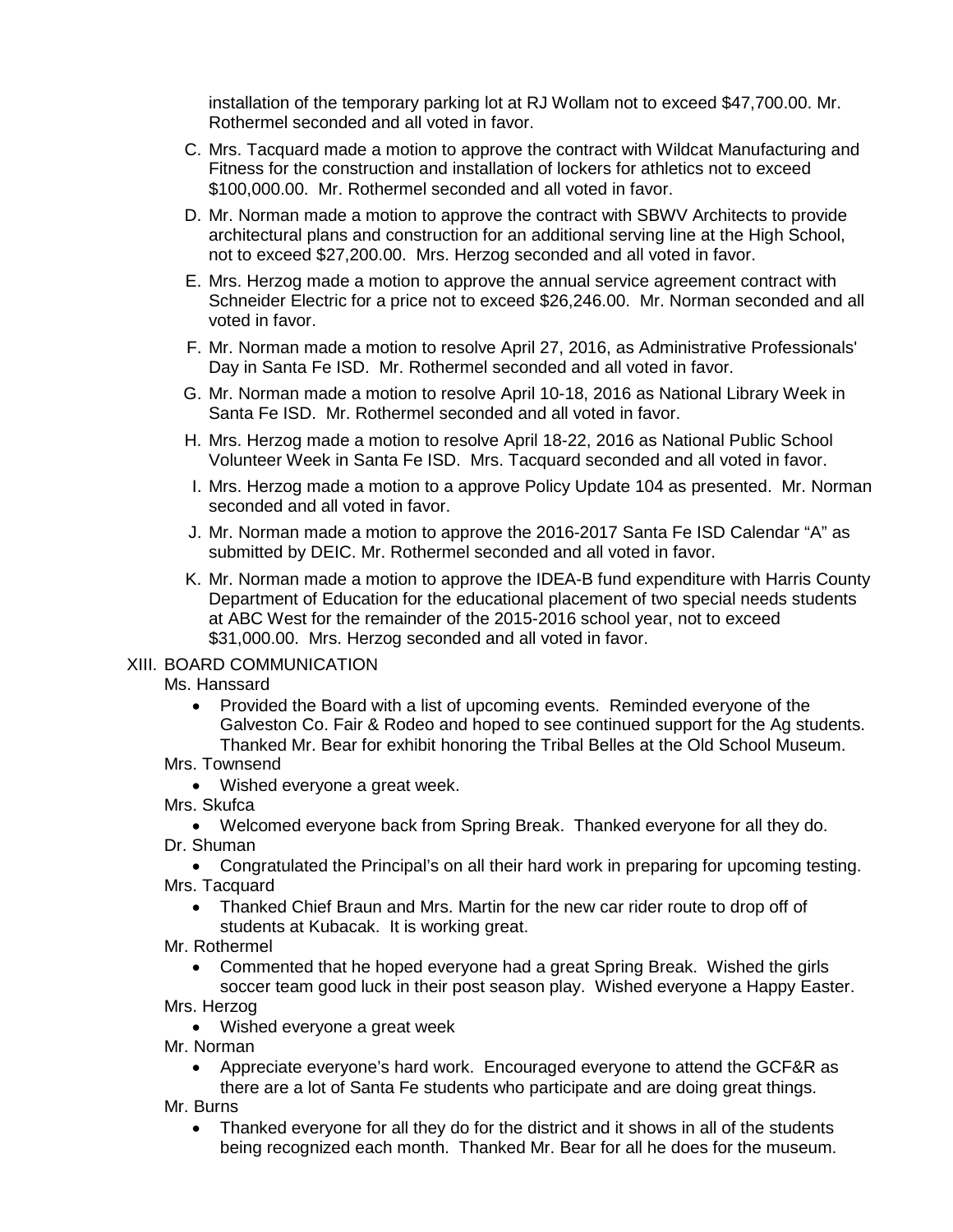installation of the temporary parking lot at RJ Wollam not to exceed \$47,700.00. Mr. Rothermel seconded and all voted in favor.

- C. Mrs. Tacquard made a motion to approve the contract with Wildcat Manufacturing and Fitness for the construction and installation of lockers for athletics not to exceed \$100,000.00. Mr. Rothermel seconded and all voted in favor.
- D. Mr. Norman made a motion to approve the contract with SBWV Architects to provide architectural plans and construction for an additional serving line at the High School, not to exceed \$27,200.00. Mrs. Herzog seconded and all voted in favor.
- E. Mrs. Herzog made a motion to approve the annual service agreement contract with Schneider Electric for a price not to exceed \$26,246.00. Mr. Norman seconded and all voted in favor.
- F. Mr. Norman made a motion to resolve April 27, 2016, as Administrative Professionals' Day in Santa Fe ISD. Mr. Rothermel seconded and all voted in favor.
- G. Mr. Norman made a motion to resolve April 10-18, 2016 as National Library Week in Santa Fe ISD. Mr. Rothermel seconded and all voted in favor.
- H. Mrs. Herzog made a motion to resolve April 18-22, 2016 as National Public School Volunteer Week in Santa Fe ISD. Mrs. Tacquard seconded and all voted in favor.
- I. Mrs. Herzog made a motion to a approve Policy Update 104 as presented. Mr. Norman seconded and all voted in favor.
- J. Mr. Norman made a motion to approve the 2016-2017 Santa Fe ISD Calendar "A" as submitted by DEIC. Mr. Rothermel seconded and all voted in favor.
- K. Mr. Norman made a motion to approve the IDEA-B fund expenditure with Harris County Department of Education for the educational placement of two special needs students at ABC West for the remainder of the 2015-2016 school year, not to exceed \$31,000.00. Mrs. Herzog seconded and all voted in favor.

#### XIII. BOARD COMMUNICATION

Ms. Hanssard

• Provided the Board with a list of upcoming events. Reminded everyone of the Galveston Co. Fair & Rodeo and hoped to see continued support for the Ag students. Thanked Mr. Bear for exhibit honoring the Tribal Belles at the Old School Museum.

## Mrs. Townsend

- Wished everyone a great week.
- Mrs. Skufca
- Welcomed everyone back from Spring Break. Thanked everyone for all they do. Dr. Shuman

• Congratulated the Principal's on all their hard work in preparing for upcoming testing. Mrs. Tacquard

- Thanked Chief Braun and Mrs. Martin for the new car rider route to drop off of students at Kubacak. It is working great.
- Mr. Rothermel
	- Commented that he hoped everyone had a great Spring Break. Wished the girls soccer team good luck in their post season play. Wished everyone a Happy Easter.

# Mrs. Herzog

• Wished everyone a great week

Mr. Norman

- Appreciate everyone's hard work. Encouraged everyone to attend the GCF&R as there are a lot of Santa Fe students who participate and are doing great things.
- Mr. Burns
	- Thanked everyone for all they do for the district and it shows in all of the students being recognized each month. Thanked Mr. Bear for all he does for the museum.